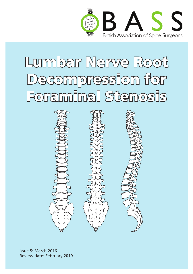

# Lumbar Nerve Root Decompression for Foraminal Stenosis



Issue 5: March 2016 Review date: February 2019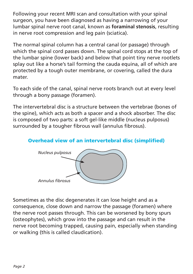Following your recent MRI scan and consultation with your spinal surgeon, you have been diagnosed as having a narrowing of your lumbar spinal nerve root canal, known as **foraminal stenosis**, resulting in nerve root compression and leg pain (sciatica).

The normal spinal column has a central canal (or passage) through which the spinal cord passes down. The spinal cord stops at the top of the lumbar spine (lower back) and below that point tiny nerve rootlets splay out like a horse's tail forming the cauda equina, all of which are protected by a tough outer membrane, or covering, called the dura mater.

To each side of the canal, spinal nerve roots branch out at every level through a bony passage (foramen).

The intervertebral disc is a structure between the vertebrae (bones of the spine), which acts as both a spacer and a shock absorber. The disc is composed of two parts: a soft gel-like middle (nucleus pulposus) surrounded by a tougher fibrous wall (annulus fibrosus).

#### Overhead view of an intervertebral disc (simplified)



Sometimes as the disc degenerates it can lose height and as a consequence, close down and narrow the passage (foramen) where the nerve root passes through. This can be worsened by bony spurs (osteophytes), which grow into the passage and can result in the nerve root becoming trapped, causing pain, especially when standing or walking (this is called claudication).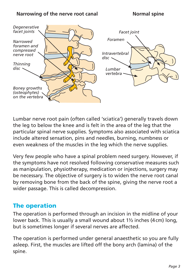#### Narrowing of the nerve root canal **Normal spine**



Lumbar nerve root pain (often called 'sciatica') generally travels down the leg to below the knee and is felt in the area of the leg that the particular spinal nerve supplies. Symptoms also associated with sciatica include altered sensation, pins and needles, burning, numbness or even weakness of the muscles in the leg which the nerve supplies.

Very few people who have a spinal problem need surgery. However, if the symptoms have not resolved following conservative measures such as manipulation, physiotherapy, medication or injections, surgery may be necessary. The objective of surgery is to widen the nerve root canal by removing bone from the back of the spine, giving the nerve root a wider passage. This is called decompression.

## The operation

The operation is performed through an incision in the midline of your lower back. This is usually a small wound about 1½ inches (4cm) long, but is sometimes longer if several nerves are affected.

The operation is performed under general anaesthetic so you are fully asleep. First, the muscles are lifted off the bony arch (lamina) of the spine.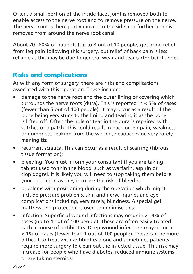Often, a small portion of the inside facet joint is removed both to enable access to the nerve root and to remove pressure on the nerve. The nerve root is then gently moved to the side and further bone is removed from around the nerve root canal.

About 70–80% of patients (up to 8 out of 10 people) get good relief from leg pain following this surgery, but relief of back pain is less reliable as this may be due to general wear and tear (arthritic) changes.

## Risks and complications

As with any form of surgery, there are risks and complications associated with this operation. These include:

- damage to the nerve root and the outer lining or covering which surrounds the nerve roots (dura). This is reported in < 5% of cases (fewer than 5 out of 100 people). It may occur as a result of the bone being very stuck to the lining and tearing it as the bone is lifted off. Often the hole or tear in the dura is repaired with stitches or a patch. This could result in back or leg pain, weakness or numbness, leaking from the wound, headaches or, very rarely, meningitis;
- recurrent sciatica. This can occur as a result of scarring (fibrous tissue formation);
- bleeding. You must inform your consultant if you are taking tablets used to thin the blood, such as warfarin, aspirin or clopidogrel. It is likely you will need to stop taking them before your operation as they increase the risk of bleeding;
- problems with positioning during the operation which might include pressure problems, skin and nerve injuries and eye complications including, very rarely, blindness. A special gel mattress and protection is used to minimise this;
- infection. Superficial wound infections may occur in 2–4% of cases (up to 4 out of 100 people). These are often easily treated with a course of antibiotics. Deep wound infections may occur in < 1% of cases (fewer than 1 out of 100 people). These can be more difficult to treat with antibiotics alone and sometimes patients require more surgery to clean out the infected tissue. This risk may increase for people who have diabetes, reduced immune systems or are taking steroids;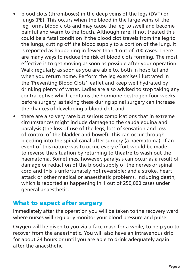- blood clots (thromboses) in the deep veins of the legs (DVT) or lungs (PE). This occurs when the blood in the large veins of the leg forms blood clots and may cause the leg to swell and become painful and warm to the touch. Although rare, if not treated this could be a fatal condition if the blood clot travels from the leg to the lungs, cutting off the blood supply to a portion of the lung. It is reported as happening in fewer than 1 out of 700 cases. There are many ways to reduce the risk of blood clots forming. The most effective is to get moving as soon as possible after your operation. Walk regularly as soon as you are able to, both in hospital and when you return home. Perform the leg exercises illustrated in the 'Preventing Blood Clots' leaflet and keep well hydrated by drinking plenty of water. Ladies are also advised to stop taking any contraceptive which contains the hormone oestrogen four weeks before surgery, as taking these during spinal surgery can increase the chances of developing a blood clot; and
- there are also very rare but serious complications that in extreme circumstances might include damage to the cauda equina and paralysis (the loss of use of the legs, loss of sensation and loss of control of the bladder and bowel). This can occur through bleeding into the spinal canal after surgery (a haematoma). If an event of this nature was to occur, every effort would be made to reverse the situation by returning to theatre to wash out the haematoma. Sometimes, however, paralysis can occur as a result of damage or reduction of the blood supply of the nerves or spinal cord and this is unfortunately not reversible; and a stroke, heart attack or other medical or anaesthetic problems, including death, which is reported as happening in 1 out of 250,000 cases under general anaesthetic.

## What to expect after surgery

Immediately after the operation you will be taken to the recovery ward where nurses will regularly monitor your blood pressure and pulse.

Oxygen will be given to you via a face mask for a while, to help you to recover from the anaesthetic. You will also have an intravenous drip for about 24 hours or until you are able to drink adequately again after the anaesthetic.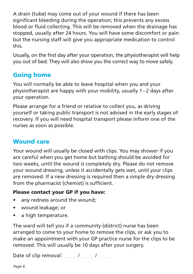A drain (tube) may come out of your wound if there has been significant bleeding during the operation; this prevents any excess blood or fluid collecting. This will be removed when the drainage has stopped, usually after 24 hours. You will have some discomfort or pain but the nursing staff will give you appropriate medication to control this.

Usually, on the first day after your operation, the physiotherapist will help you out of bed. They will also show you the correct way to move safely.

## Going home

You will normally be able to leave hospital when you and your physiotherapist are happy with your mobility, usually 1–2 days after your operation.

Please arrange for a friend or relative to collect you, as driving yourself or taking public transport is not advised in the early stages of recovery. If you will need hospital transport please inform one of the nurses as soon as possible.

## Wound care

Your wound will usually be closed with clips. You may shower if you are careful when you get home but bathing should be avoided for two weeks, until the wound is completely dry. Please do not remove your wound dressing, unless it accidentally gets wet, until your clips are removed. If a new dressing is required then a simple dry dressing from the pharmacist (chemist) is sufficient.

### Please contact your GP if you have:

- any redness around the wound;
- • wound leakage; or
- a high temperature.

The ward will tell you if a community (district) nurse has been arranged to come to your home to remove the clips, or ask you to make an appointment with your GP practice nurse for the clips to be removed. This will usually be 10 days after your surgery.

Date of clip removal: / /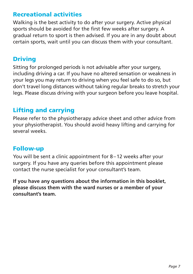## Recreational activities

Walking is the best activity to do after your surgery. Active physical sports should be avoided for the first few weeks after surgery. A gradual return to sport is then advised. If you are in any doubt about certain sports, wait until you can discuss them with your consultant.

## Driving

Sitting for prolonged periods is not advisable after your surgery, including driving a car. If you have no altered sensation or weakness in your legs you may return to driving when you feel safe to do so, but don't travel long distances without taking regular breaks to stretch your legs. Please discuss driving with your surgeon before you leave hospital.

## Lifting and carrying

Please refer to the physiotherapy advice sheet and other advice from your physiotherapist. You should avoid heavy lifting and carrying for several weeks.

### Follow-up

You will be sent a clinic appointment for 8–12 weeks after your surgery. If you have any queries before this appointment please contact the nurse specialist for your consultant's team.

**If you have any questions about the information in this booklet, please discuss them with the ward nurses or a member of your consultant's team.**